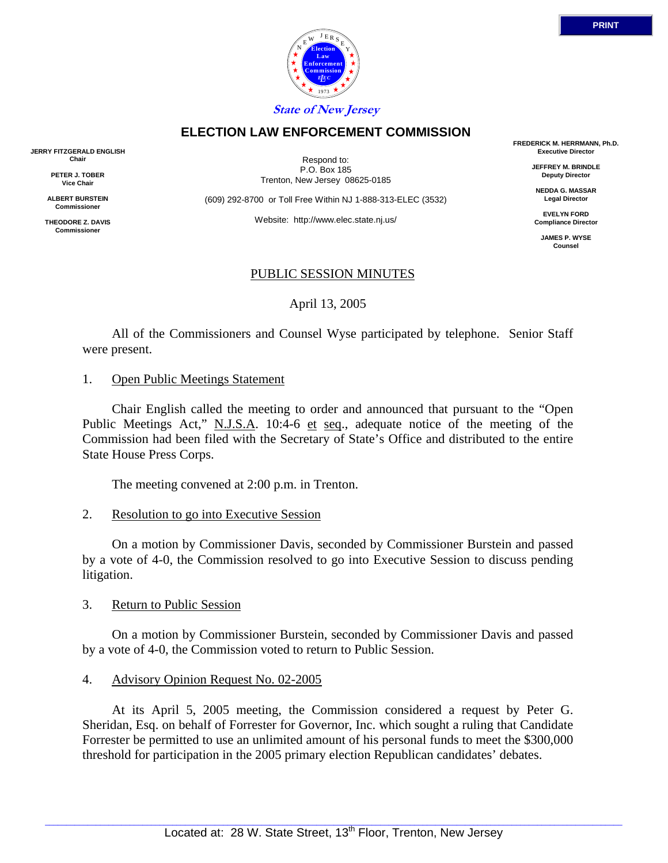

Respond to: P.O. Box 185 Trenton, New Jersey 08625-0185

**ELECTION LAW ENFORCEMENT COMMISSION**

(609) 292-8700 or Toll Free Within NJ 1-888-313-ELEC (3532)

Website: http://www.elec.state.nj.us/

## PUBLIC SESSION MINUTES

April 13, 2005

 All of the Commissioners and Counsel Wyse participated by telephone. Senior Staff were present.

#### 1. Open Public Meetings Statement

 Chair English called the meeting to order and announced that pursuant to the "Open Public Meetings Act," N.J.S.A. 10:4-6 et seq., adequate notice of the meeting of the Commission had been filed with the Secretary of State's Office and distributed to the entire State House Press Corps.

The meeting convened at 2:00 p.m. in Trenton.

#### 2. Resolution to go into Executive Session

On a motion by Commissioner Davis, seconded by Commissioner Burstein and passed by a vote of 4-0, the Commission resolved to go into Executive Session to discuss pending litigation.

#### 3. Return to Public Session

On a motion by Commissioner Burstein, seconded by Commissioner Davis and passed by a vote of 4-0, the Commission voted to return to Public Session.

## 4. Advisory Opinion Request No. 02-2005

 At its April 5, 2005 meeting, the Commission considered a request by Peter G. Sheridan, Esq. on behalf of Forrester for Governor, Inc. which sought a ruling that Candidate Forrester be permitted to use an unlimited amount of his personal funds to meet the \$300,000 threshold for participation in the 2005 primary election Republican candidates' debates.

**FREDERICK M. HERRMANN, Ph.D. Executive Director**

> **JEFFREY M. BRINDLE Deputy Director**

**NEDDA G. MASSAR Legal Director**

**EVELYN FORD Compliance Director**

**JAMES P. WYSE Counsel**



**JERRY FITZGERALD ENGLISH Chair**

> **PETER J. TOBER Vice Chair**

**ALBERT BURSTEIN Commissioner** 

**THEODORE Z. DAVIS Commissione**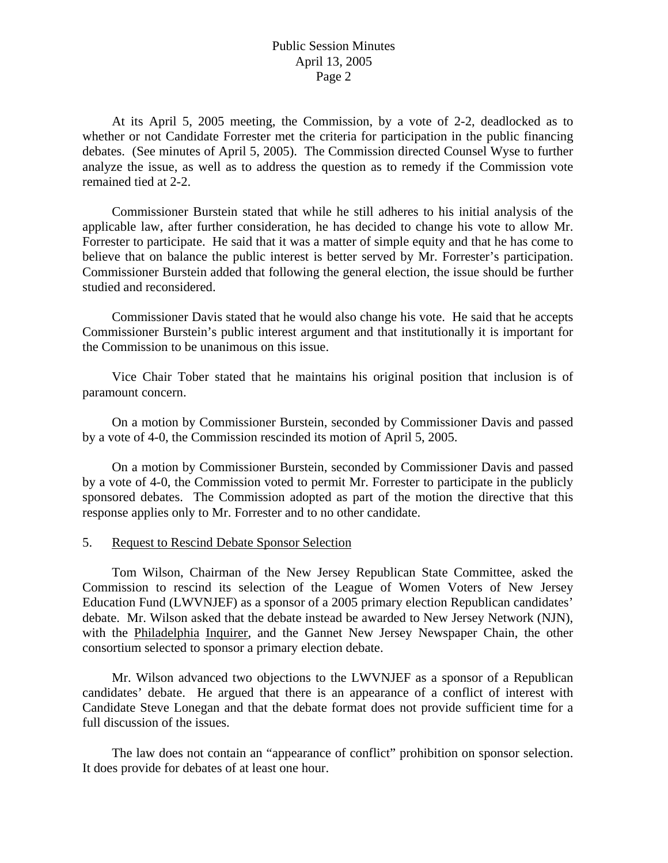# Public Session Minutes April 13, 2005 Page 2

 At its April 5, 2005 meeting, the Commission, by a vote of 2-2, deadlocked as to whether or not Candidate Forrester met the criteria for participation in the public financing debates. (See minutes of April 5, 2005). The Commission directed Counsel Wyse to further analyze the issue, as well as to address the question as to remedy if the Commission vote remained tied at 2-2.

 Commissioner Burstein stated that while he still adheres to his initial analysis of the applicable law, after further consideration, he has decided to change his vote to allow Mr. Forrester to participate. He said that it was a matter of simple equity and that he has come to believe that on balance the public interest is better served by Mr. Forrester's participation. Commissioner Burstein added that following the general election, the issue should be further studied and reconsidered.

 Commissioner Davis stated that he would also change his vote. He said that he accepts Commissioner Burstein's public interest argument and that institutionally it is important for the Commission to be unanimous on this issue.

 Vice Chair Tober stated that he maintains his original position that inclusion is of paramount concern.

 On a motion by Commissioner Burstein, seconded by Commissioner Davis and passed by a vote of 4-0, the Commission rescinded its motion of April 5, 2005.

 On a motion by Commissioner Burstein, seconded by Commissioner Davis and passed by a vote of 4-0, the Commission voted to permit Mr. Forrester to participate in the publicly sponsored debates. The Commission adopted as part of the motion the directive that this response applies only to Mr. Forrester and to no other candidate.

#### 5. Request to Rescind Debate Sponsor Selection

 Tom Wilson, Chairman of the New Jersey Republican State Committee, asked the Commission to rescind its selection of the League of Women Voters of New Jersey Education Fund (LWVNJEF) as a sponsor of a 2005 primary election Republican candidates' debate. Mr. Wilson asked that the debate instead be awarded to New Jersey Network (NJN), with the Philadelphia Inquirer, and the Gannet New Jersey Newspaper Chain, the other consortium selected to sponsor a primary election debate.

 Mr. Wilson advanced two objections to the LWVNJEF as a sponsor of a Republican candidates' debate. He argued that there is an appearance of a conflict of interest with Candidate Steve Lonegan and that the debate format does not provide sufficient time for a full discussion of the issues.

 The law does not contain an "appearance of conflict" prohibition on sponsor selection. It does provide for debates of at least one hour.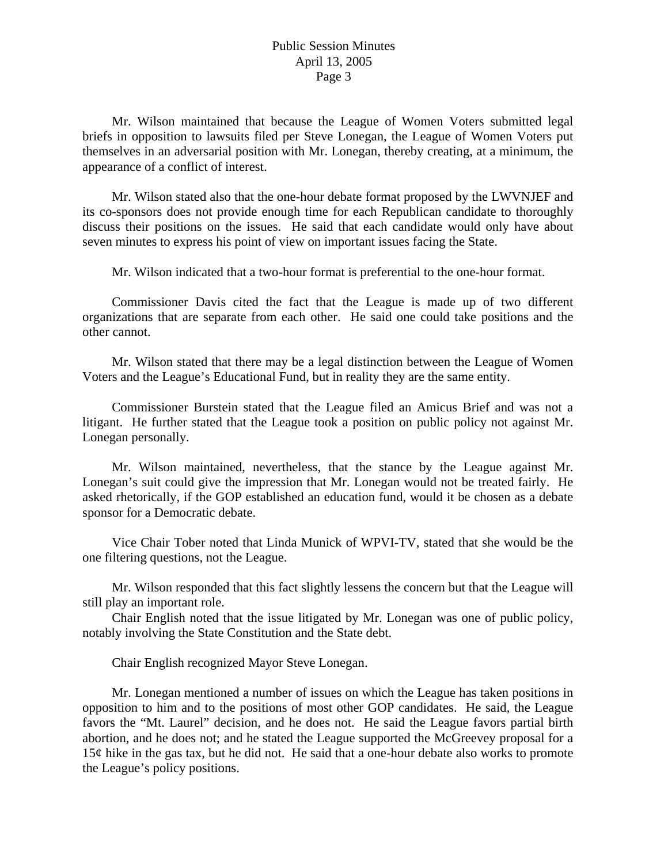# Public Session Minutes April 13, 2005 Page 3

 Mr. Wilson maintained that because the League of Women Voters submitted legal briefs in opposition to lawsuits filed per Steve Lonegan, the League of Women Voters put themselves in an adversarial position with Mr. Lonegan, thereby creating, at a minimum, the appearance of a conflict of interest.

 Mr. Wilson stated also that the one-hour debate format proposed by the LWVNJEF and its co-sponsors does not provide enough time for each Republican candidate to thoroughly discuss their positions on the issues. He said that each candidate would only have about seven minutes to express his point of view on important issues facing the State.

Mr. Wilson indicated that a two-hour format is preferential to the one-hour format.

 Commissioner Davis cited the fact that the League is made up of two different organizations that are separate from each other. He said one could take positions and the other cannot.

 Mr. Wilson stated that there may be a legal distinction between the League of Women Voters and the League's Educational Fund, but in reality they are the same entity.

 Commissioner Burstein stated that the League filed an Amicus Brief and was not a litigant. He further stated that the League took a position on public policy not against Mr. Lonegan personally.

 Mr. Wilson maintained, nevertheless, that the stance by the League against Mr. Lonegan's suit could give the impression that Mr. Lonegan would not be treated fairly. He asked rhetorically, if the GOP established an education fund, would it be chosen as a debate sponsor for a Democratic debate.

 Vice Chair Tober noted that Linda Munick of WPVI-TV, stated that she would be the one filtering questions, not the League.

 Mr. Wilson responded that this fact slightly lessens the concern but that the League will still play an important role.

 Chair English noted that the issue litigated by Mr. Lonegan was one of public policy, notably involving the State Constitution and the State debt.

Chair English recognized Mayor Steve Lonegan.

 Mr. Lonegan mentioned a number of issues on which the League has taken positions in opposition to him and to the positions of most other GOP candidates. He said, the League favors the "Mt. Laurel" decision, and he does not. He said the League favors partial birth abortion, and he does not; and he stated the League supported the McGreevey proposal for a 15¢ hike in the gas tax, but he did not. He said that a one-hour debate also works to promote the League's policy positions.